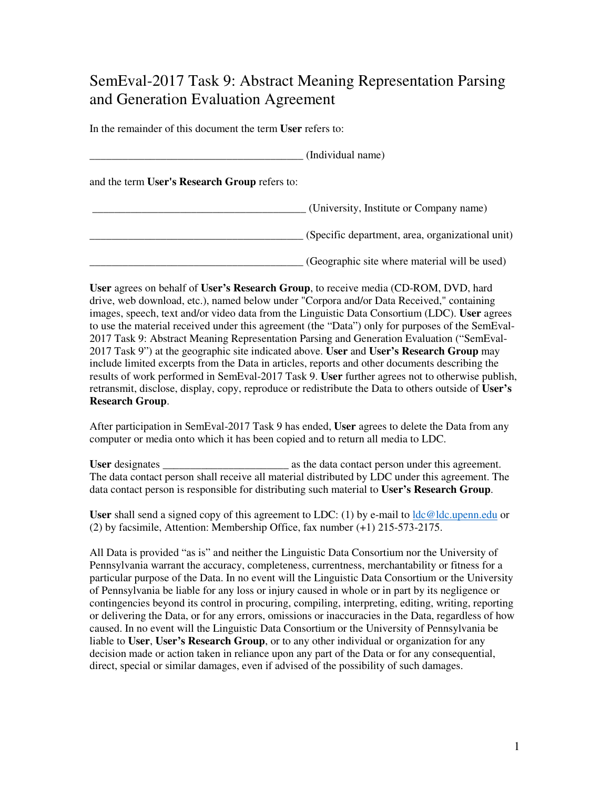## SemEval-2017 Task 9: Abstract Meaning Representation Parsing and Generation Evaluation Agreement

In the remainder of this document the term **User** refers to:

|                                               | (Individual name)                                |
|-----------------------------------------------|--------------------------------------------------|
| and the term User's Research Group refers to: |                                                  |
|                                               | (University, Institute or Company name)          |
|                                               | (Specific department, area, organizational unit) |
|                                               | (Geographic site where material will be used)    |

**User** agrees on behalf of **User's Research Group**, to receive media (CD-ROM, DVD, hard drive, web download, etc.), named below under "Corpora and/or Data Received," containing images, speech, text and/or video data from the Linguistic Data Consortium (LDC). **User** agrees to use the material received under this agreement (the "Data") only for purposes of the SemEval-2017 Task 9: Abstract Meaning Representation Parsing and Generation Evaluation ("SemEval-2017 Task 9") at the geographic site indicated above. **User** and **User's Research Group** may include limited excerpts from the Data in articles, reports and other documents describing the results of work performed in SemEval-2017 Task 9. **User** further agrees not to otherwise publish, retransmit, disclose, display, copy, reproduce or redistribute the Data to others outside of **User's Research Group**.

After participation in SemEval-2017 Task 9 has ended, **User** agrees to delete the Data from any computer or media onto which it has been copied and to return all media to LDC.

**User** designates \_\_\_\_\_\_\_\_\_\_\_\_\_\_\_\_\_\_\_\_\_\_\_ as the data contact person under this agreement. The data contact person shall receive all material distributed by LDC under this agreement. The data contact person is responsible for distributing such material to **User's Research Group**.

**User** shall send a signed copy of this agreement to LDC: (1) by e-mail to ldc@ldc.upenn.edu or (2) by facsimile, Attention: Membership Office, fax number (+1) 215-573-2175.

All Data is provided "as is" and neither the Linguistic Data Consortium nor the University of Pennsylvania warrant the accuracy, completeness, currentness, merchantability or fitness for a particular purpose of the Data. In no event will the Linguistic Data Consortium or the University of Pennsylvania be liable for any loss or injury caused in whole or in part by its negligence or contingencies beyond its control in procuring, compiling, interpreting, editing, writing, reporting or delivering the Data, or for any errors, omissions or inaccuracies in the Data, regardless of how caused. In no event will the Linguistic Data Consortium or the University of Pennsylvania be liable to **User**, **User's Research Group**, or to any other individual or organization for any decision made or action taken in reliance upon any part of the Data or for any consequential, direct, special or similar damages, even if advised of the possibility of such damages.